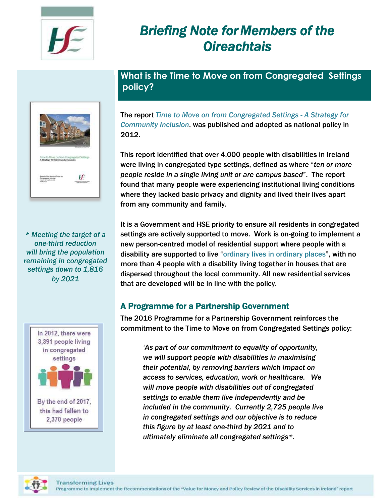

# *Briefing Note forMembers of the Oireachtais*

# **What is the Time to Move on from Congregated Settings policy?**



*\* Meeting the target of a one-third reduction will bring the population remaining in congregated settings down to 1,816 by 2021*



The report *Time to Move on from Congregated Settings - A Strategy for Community Inclusion*, was published and adopted as national policy in 2012.

This report identified that over 4,000 people with disabilities in Ireland were living in congregated type settings, defined as where "*ten or more people reside in a single living unit or are campus based*". The report found that many people were experiencing institutional living conditions where they lacked basic privacy and dignity and lived their lives apart from any community and family.

It is a Government and HSE priority to ensure all residents in congregated settings are actively supported to move. Work is on-going to implement a new person-centred model of residential support where people with a disability are supported to live "ordinary lives in ordinary places", with no more than 4 people with a disability living together in houses that are dispersed throughout the local community. All new residential services that are developed will be in line with the policy.

## A Programme for a Partnership Government

The 2016 Programme for a Partnership Government reinforces the commitment to the Time to Move on from Congregated Settings policy:

*'As part of our commitment to equality of opportunity, we will support people with disabilities in maximising their potential, by removing barriers which impact on access to services, education, work or healthcare. We will move people with disabilities out of congregated settings to enable them live independently and be included in the community. Currently 2,725 people live in congregated settings and our objective is to reduce this figure by at least one-third by 2021 and to ultimately eliminate all congregated settings\*.* 

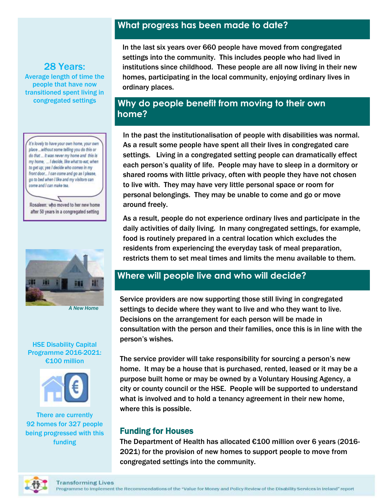### **What progress has been made to date?**

28 Years: Average length of time the people that have now transitioned spent living in congregated settings

it's lovely to have your own home, your own place ... without some telling you do this or do that ... it was never my home and this is my home, ... I decide, like what to eat, when to get up; yes I decide who comes in my front door... I can come and go as I please, go to bed when I like and my visitors can come and I can make tea.

Z Rosaleen: who moved to her new home after 50 years in a congregated setting



*A New Home*

#### HSE Disability Capital Programme 2016-2021: €100 million



There are currently 92 homes for 327 people being progressed with this funding

In the last six years over 660 people have moved from congregated settings into the community. This includes people who had lived in institutions since childhood. These people are all now living in their new homes, participating in the local community, enjoying ordinary lives in ordinary places.

## **Why do people benefit from moving to their own home?**

In the past the institutionalisation of people with disabilities was normal. As a result some people have spent all their lives in congregated care settings. Living in a congregated setting people can dramatically effect each person's quality of life. People may have to sleep in a dormitory or shared rooms with little privacy, often with people they have not chosen to live with. They may have very little personal space or room for personal belongings. They may be unable to come and go or move around freely.

As a result, people do not experience ordinary lives and participate in the daily activities of daily living. In many congregated settings, for example, food is routinely prepared in a central location which excludes the residents from experiencing the everyday task of meal preparation, restricts them to set meal times and limits the menu available to them.

## **Where will people live and who will decide?**

Service providers are now supporting those still living in congregated settings to decide where they want to live and who they want to live. example to accure intervalsing name of an intervalsing matter in the Decisions on the arrangement for each person-will be made in consultation with the person and their families, once this is in line with the consultation with the person and their families, once this is in line with the person's wishes.<br>person's wishes.

The service provider will take responsibility for sourcing a person's new home. It may be a house that is purchased, rented, leased or it may be a purpose built home or may be owned by a Voluntary Housing Agency, a city or county council or the HSE. People will be supported to understand what is involved and to hold a tenancy agreement in their new home, where this is possible.

#### Funding for Houses

The Department of Health has allocated €100 million over 6 years (2016- 2021) for the provision of new homes to support people to move from congregated settings into the community.

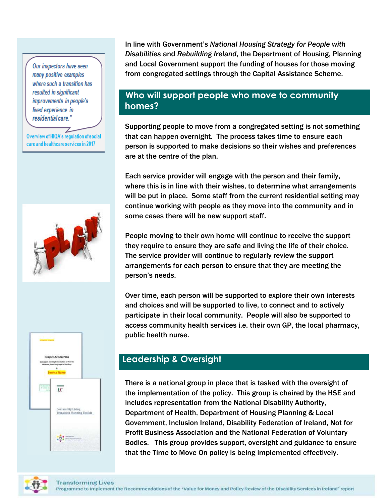Our inspectors have seen many positive examples where such a transition has resulted in significant improvements in people's lived experience in residential care."

Overview of HIQA's regulation of social care and healthcare services in 2017





In line with Government's *National Housing Strategy for People with Disabilities* and *Rebuilding Ireland*, the Department of Housing, Planning and Local Government support the funding of houses for those moving from congregated settings through the Capital Assistance Scheme.

## **Who will support people who move to community homes?**

Supporting people to move from a congregated setting is not something that can happen overnight. The process takes time to ensure each person is supported to make decisions so their wishes and preferences are at the centre of the plan.

Each service provider will engage with the person and their family, where this is in line with their wishes, to determine what arrangements will be put in place. Some staff from the current residential setting may continue working with people as they move into the community and in some cases there will be new support staff.

People moving to their own home will continue to receive the support they require to ensure they are safe and living the life of their choice. The service provider will continue to regularly review the support arrangements for each person to ensure that they are meeting the person's needs.

Over time, each person will be supported to explore their own interests and choices and will be supported to live, to connect and to actively participate in their local community. People will also be supported to access community health services i.e. their own GP, the local pharmacy, public health nurse.

## **Leadership & Oversight**

There is a national group in place that is tasked with the oversight of the implementation of the policy. This group is chaired by the HSE and includes representation from the National Disability Authority, Department of Health, Department of Housing Planning & Local Government, Inclusion Ireland, Disability Federation of Ireland, Not for Profit Business Association and the National Federation of Voluntary Bodies. This group provides support, oversight and guidance to ensure that the Time to Move On policy is being implemented effectively.